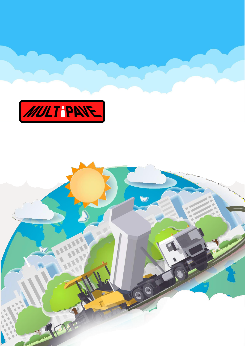

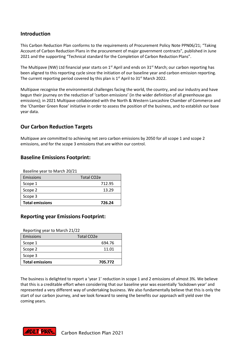## **Introduction**

This Carbon Reduction Plan conforms to the requirements of Procurement Policy Note PPN06/21; "Taking Account of Carbon Reduction Plans in the procurement of major government contracts", published in June 2021 and the supporting "Technical standard for the Completion of Carbon Reduction Plans".

The Multipave (NW) Ltd financial year starts on 1<sup>st</sup> April and ends on 31<sup>st</sup> March; our carbon reporting has been aligned to this reporting cycle since the initiation of our baseline year and carbon emission reporting. The current reporting period covered by this plan is 1<sup>st</sup> April to 31<sup>st</sup> March 2022.

Multipave recognise the environmental challenges facing the world, the country, and our industry and have begun their journey on the reduction of 'carbon emissions' (in the wider definition of all greenhouse gas emissions); in 2021 Multipave collaborated with the North & Western Lancashire Chamber of Commerce and the 'Chamber Green Rose' initiative in order to assess the position of the business, and to establish our base year data.

## **Our Carbon Reduction Targets**

Multipave are committed to achieving net zero carbon emissions by 2050 for all scope 1 and scope 2 emissions, and for the scope 3 emissions that are within our control.

### **Baseline Emissions Footprint:**

| Baseline year to March 20/21 |                         |
|------------------------------|-------------------------|
| Emissions                    | Total CO <sub>2</sub> e |
| Scope 1                      | 712.95                  |
| Scope 2                      | 13.29                   |
| Scope 3                      |                         |
| <b>Total emissions</b>       | 726.24                  |

### **Reporting year Emissions Footprint:**

Reporting year to March 21/22

| Emissions              | Total CO <sub>2</sub> e |
|------------------------|-------------------------|
| Scope 1                | 694.76                  |
| Scope 2                | 11.01                   |
| Scope 3                |                         |
| <b>Total emissions</b> | 705.772                 |

The business is delighted to report a 'year 1' reduction in scope 1 and 2 emissions of almost 3%. We believe that this is a creditable effort when considering that our baseline year was essentially 'lockdown year' and represented a very different way of undertaking business. We also fundamentally believe that this is only the start of our carbon journey, and we look forward to seeing the benefits our approach will yield over the coming years.

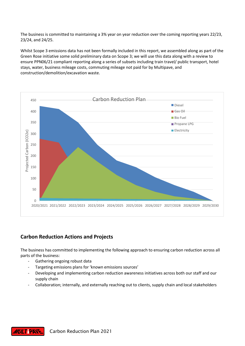The business is committed to maintaining a 3% year on year reduction over the coming reporting years 22/23, 23/24, and 24/25.

Whilst Scope 3 emissions data has not been formally included in this report, we assembled along as part of the Green Rose initiative some solid preliminary data on Scope 3; we will use this data along with a review to ensure PPN06/21 compliant reporting along a series of subsets including train travel/ public transport, hotel stays, water, business mileage costs, commuting mileage not paid for by Multipave, and construction/demolition/excavation waste.



# **Carbon Reduction Actions and Projects**

The business has committed to implementing the following approach to ensuring carbon reduction across all parts of the business:

- Gathering ongoing robust data
- Targeting emissions plans for 'known emissions sources'
- Developing and implementing carbon reduction awareness initiatives across both our staff and our supply chain
- Collaboration; internally, and externally reaching out to clients, supply chain and local stakeholders

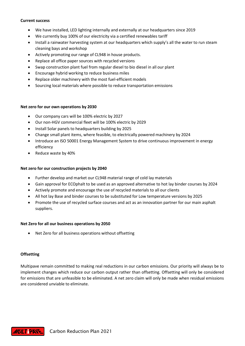#### **Current success**

- We have installed, LED lighting internally and externally at our headquarters since 2019
- We currently buy 100% of our electricity via a certified renewables tariff
- Install a rainwater harvesting system at our headquarters which supply's all the water to run steam cleaning bays and workshop
- Actively promoting our range of CL948 in house products.
- Replace all office paper sources with recycled versions
- Swap construction plant fuel from regular diesel to bio diesel in all our plant
- Encourage hybrid working to reduce business miles
- Replace older machinery with the most fuel-efficient models
- Sourcing local materials where possible to reduce transportation emissions

#### **Net zero for our own operations by 2030**

- Our company cars will be 100% electric by 2027
- Our non-HGV commercial fleet will be 100% electric by 2029
- Install Solar panels to headquarters building by 2025
- Change small plant items, where feasible, to electrically powered machinery by 2024
- Introduce an ISO 50001 Energy Management System to drive continuous improvement in energy efficiency
- Reduce waste by 40%

#### **Net zero for our construction projects by 2040**

- Further develop and market our CL948 material range of cold lay materials
- Gain approval for ECOphalt to be used as an approved alternative to hot lay binder courses by 2024
- Actively promote and encourage the use of recycled materials to all our clients
- All hot lay Base and binder courses to be substituted for Low temperature versions by 2025
- Promote the use of recycled surface courses and act as an innovation partner for our main asphalt suppliers.

#### **Net Zero for all our business operations by 2050**

• Net Zero for all business operations without offsetting

#### **Offsetting**

Multipave remain committed to making real reductions in our carbon emissions. Our priority will always be to implement changes which reduce our carbon output rather than offsetting. Offsetting will only be considered for emissions that are unfeasible to be eliminated. A net zero claim will only be made when residual emissions are considered unviable to eliminate.